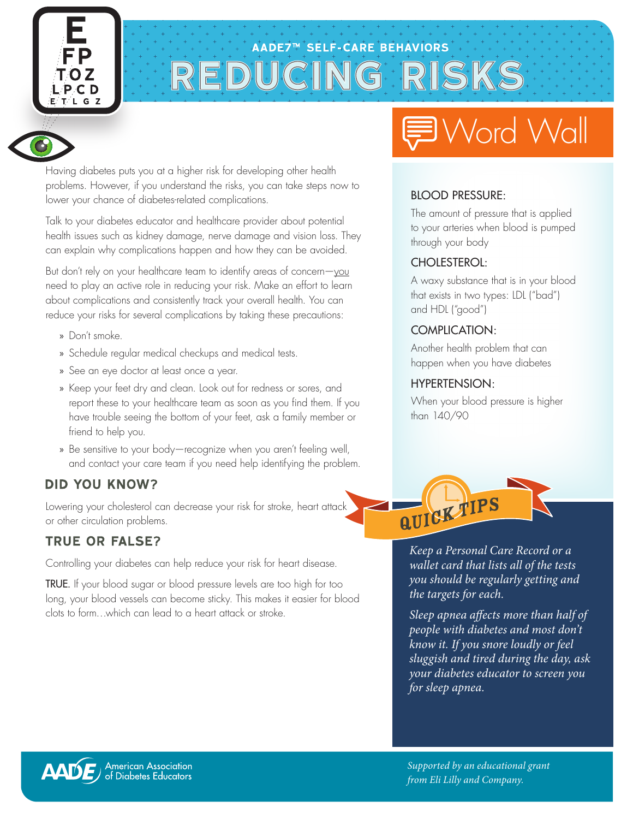





Having diabetes puts you at a higher risk for developing other health problems. However, if you understand the risks, you can take steps now to lower your chance of diabetes-related complications.

Talk to your diabetes educator and healthcare provider about potential health issues such as kidney damage, nerve damage and vision loss. They can explain why complications happen and how they can be avoided.

But don't rely on your healthcare team to identify areas of concern-you need to play an active role in reducing your risk. Make an effort to learn about complications and consistently track your overall health. You can reduce your risks for several complications by taking these precautions:

- » Don't smoke.
- » Schedule regular medical checkups and medical tests.
- » See an eye doctor at least once a year.
- » Keep your feet dry and clean. Look out for redness or sores, and report these to your healthcare team as soon as you find them. If you have trouble seeing the bottom of your feet, ask a family member or friend to help you.
- » Be sensitive to your body—recognize when you aren't feeling well, and contact your care team if you need help identifying the problem.

#### **DID YOU KNOW?**

Lowering your cholesterol can decrease your risk for stroke, heart attack or other circulation problems.

#### **TRUE OR FALSE?**

Controlling your diabetes can help reduce your risk for heart disease.

TRUE. If your blood sugar or blood pressure levels are too high for too long, your blood vessels can become sticky. This makes it easier for blood clots to form…which can lead to a heart attack or stroke.

## Word Wall

#### BLOOD PRESSURE:

The amount of pressure that is applied to your arteries when blood is pumped through your body

#### CHOLESTEROL:

A waxy substance that is in your blood that exists in two types: LDL ("bad") and HDL ("good")

#### COMPLICATION:

Another health problem that can happen when you have diabetes

#### HYPERTENSION:

When your blood pressure is higher than 140/90



*Keep a Personal Care Record or a wallet card that lists all of the tests you should be regularly getting and the targets for each.*

*Sleep apnea affects more than half of people with diabetes and most don't know it. If you snore loudly or feel sluggish and tired during the day, ask your diabetes educator to screen you for sleep apnea.*

American Association<br>of Diabetes Educators **AADE** 

*Supported by an educational grant from Eli Lilly and Company.*